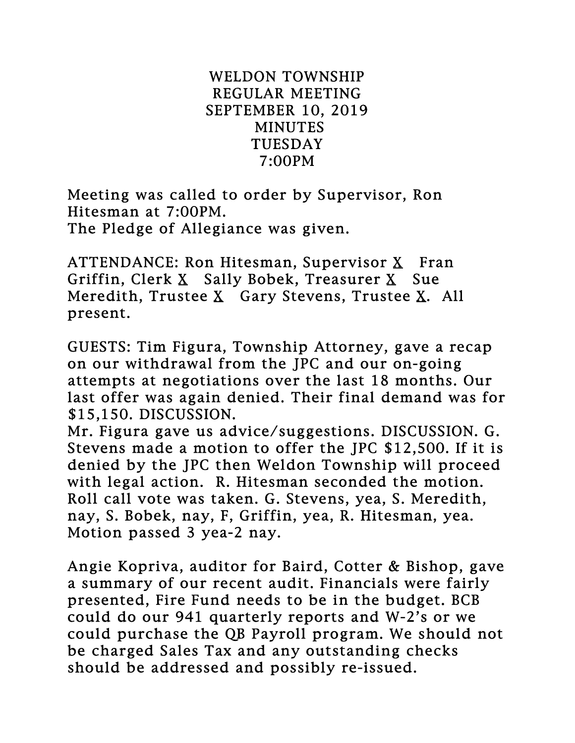## WELDON TOWNSHIP REGULAR MEETING SEPTEMBER 10, 2019 MINUTES TUESDAY 7:00PM

Meeting was called to order by Supervisor, Ron Hitesman at 7:00PM. The Pledge of Allegiance was given.

ATTENDANCE: Ron Hitesman, Supervisor  $X$  Fran Griffin, Clerk X Sally Bobek, Treasurer X Sue Meredith, Trustee X Gary Stevens, Trustee X. All present.

GUESTS: Tim Figura, Township Attorney, gave a recap on our withdrawal from the JPC and our on-going attempts at negotiations over the last 18 months. Our last offer was again denied. Their final demand was for \$15,150. DISCUSSION.

Mr. Figura gave us advice/suggestions. DISCUSSION. G. Stevens made a motion to offer the JPC \$12,500. If it is denied by the JPC then Weldon Township will proceed with legal action. R. Hitesman seconded the motion. Roll call vote was taken. G. Stevens, yea, S. Meredith, nay, S. Bobek, nay, F, Griffin, yea, R. Hitesman, yea. Motion passed 3 yea-2 nay.

Angie Kopriva, auditor for Baird, Cotter & Bishop, gave a summary of our recent audit. Financials were fairly presented, Fire Fund needs to be in the budget. BCB could do our 941 quarterly reports and W-2's or we could purchase the QB Payroll program. We should not be charged Sales Tax and any outstanding checks should be addressed and possibly re-issued.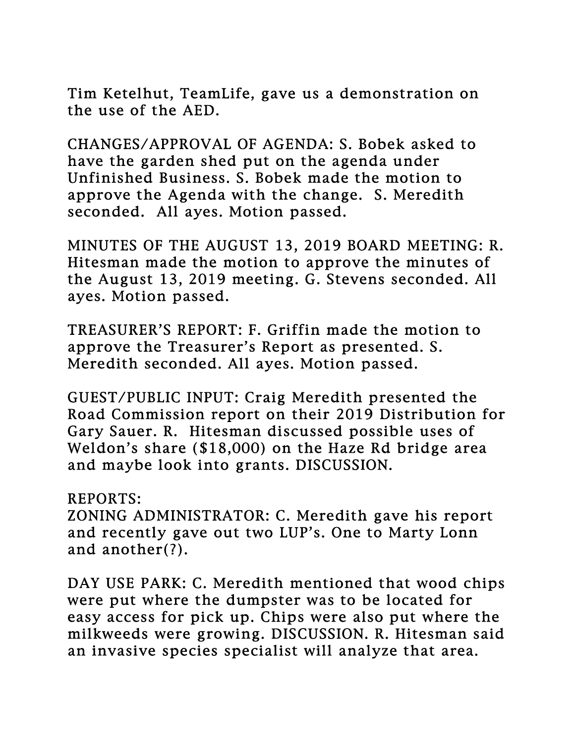Tim Ketelhut, TeamLife, gave us a demonstration on the use of the AED.

CHANGES/APPROVAL OF AGENDA: S. Bobek asked to have the garden shed put on the agenda under Unfinished Business. S. Bobek made the motion to approve the Agenda with the change. S. Meredith seconded. All ayes. Motion passed.

MINUTES OF THE AUGUST 13, 2019 BOARD MEETING: R. Hitesman made the motion to approve the minutes of the August 13, 2019 meeting. G. Stevens seconded. All ayes. Motion passed.

TREASURER'S REPORT: F. Griffin made the motion to approve the Treasurer's Report as presented. S. Meredith seconded. All ayes. Motion passed.

GUEST/PUBLIC INPUT: Craig Meredith presented the Road Commission report on their 2019 Distribution for Gary Sauer. R. Hitesman discussed possible uses of Weldon's share (\$18,000) on the Haze Rd bridge area and maybe look into grants. DISCUSSION.

## REPORTS:

ZONING ADMINISTRATOR: C. Meredith gave his report and recently gave out two LUP's. One to Marty Lonn and another(?).

DAY USE PARK: C. Meredith mentioned that wood chips were put where the dumpster was to be located for easy access for pick up. Chips were also put where the milkweeds were growing. DISCUSSION. R. Hitesman said an invasive species specialist will analyze that area.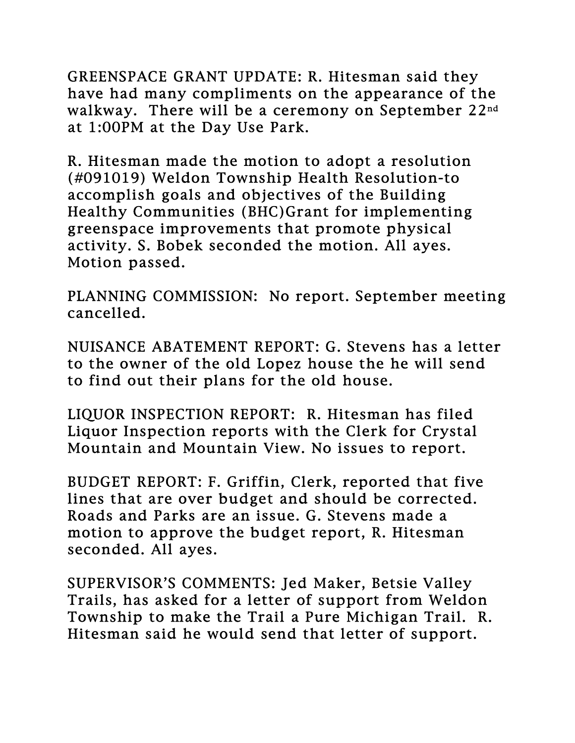GREENSPACE GRANT UPDATE: R. Hitesman said they have had many compliments on the appearance of the walkway. There will be a ceremony on September 22nd at 1:00PM at the Day Use Park.

R. Hitesman made the motion to adopt a resolution (#091019) Weldon Township Health Resolution-to accomplish goals and objectives of the Building Healthy Communities (BHC)Grant for implementing greenspace improvements that promote physical activity. S. Bobek seconded the motion. All ayes. Motion passed.

PLANNING COMMISSION: No report. September meeting cancelled.

NUISANCE ABATEMENT REPORT: G. Stevens has a letter to the owner of the old Lopez house the he will send to find out their plans for the old house.

LIQUOR INSPECTION REPORT: R. Hitesman has filed Liquor Inspection reports with the Clerk for Crystal Mountain and Mountain View. No issues to report.

BUDGET REPORT: F. Griffin, Clerk, reported that five lines that are over budget and should be corrected. Roads and Parks are an issue. G. Stevens made a motion to approve the budget report, R. Hitesman seconded. All ayes.

SUPERVISOR'S COMMENTS: Jed Maker, Betsie Valley Trails, has asked for a letter of support from Weldon Township to make the Trail a Pure Michigan Trail. R. Hitesman said he would send that letter of support.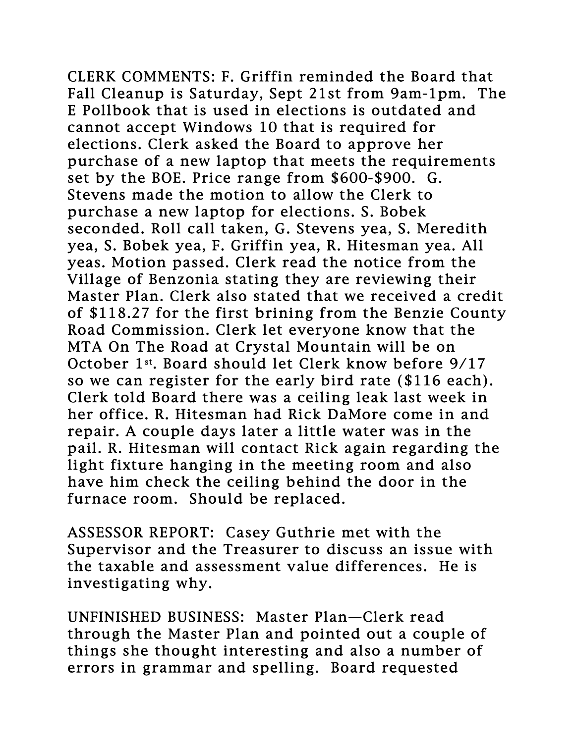CLERK COMMENTS: F. Griffin reminded the Board that Fall Cleanup is Saturday, Sept 21st from 9am-1pm. The E Pollbook that is used in elections is outdated and cannot accept Windows 10 that is required for elections. Clerk asked the Board to approve her purchase of a new laptop that meets the requirements set by the BOE. Price range from \$600-\$900. G. Stevens made the motion to allow the Clerk to purchase a new laptop for elections. S. Bobek seconded. Roll call taken, G. Stevens yea, S. Meredith yea, S. Bobek yea, F. Griffin yea, R. Hitesman yea. All yeas. Motion passed. Clerk read the notice from the Village of Benzonia stating they are reviewing their Master Plan. Clerk also stated that we received a credit of \$118.27 for the first brining from the Benzie County Road Commission. Clerk let everyone know that the MTA On The Road at Crystal Mountain will be on October 1st . Board should let Clerk know before 9/17 so we can register for the early bird rate (\$116 each). Clerk told Board there was a ceiling leak last week in her office. R. Hitesman had Rick DaMore come in and repair. A couple days later a little water was in the pail. R. Hitesman will contact Rick again regarding the light fixture hanging in the meeting room and also have him check the ceiling behind the door in the furnace room. Should be replaced.

ASSESSOR REPORT: Casey Guthrie met with the Supervisor and the Treasurer to discuss an issue with the taxable and assessment value differences. He is investigating why.

UNFINISHED BUSINESS: Master Plan—Clerk read through the Master Plan and pointed out a couple of things she thought interesting and also a number of errors in grammar and spelling. Board requested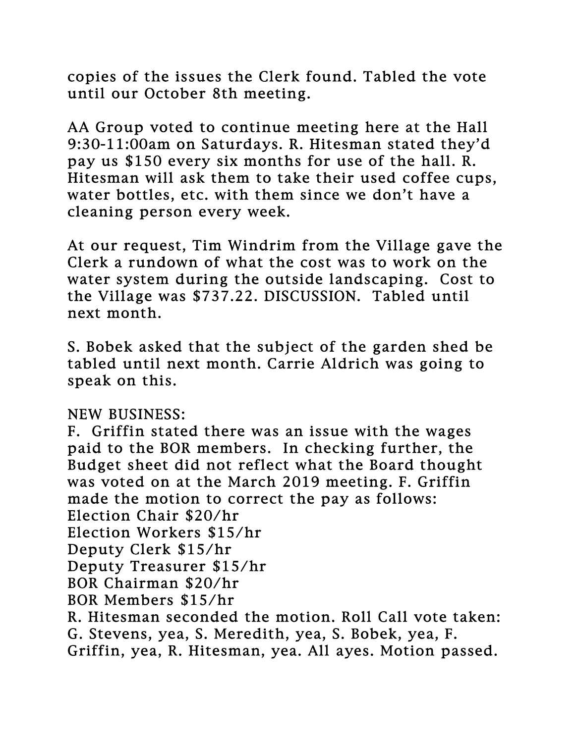copies of the issues the Clerk found. Tabled the vote until our October 8th meeting.

AA Group voted to continue meeting here at the Hall 9:30-11:00am on Saturdays. R. Hitesman stated they'd pay us \$150 every six months for use of the hall. R. Hitesman will ask them to take their used coffee cups, water bottles, etc. with them since we don't have a cleaning person every week.

At our request, Tim Windrim from the Village gave the Clerk a rundown of what the cost was to work on the water system during the outside landscaping. Cost to the Village was \$737.22. DISCUSSION. Tabled until next month.

S. Bobek asked that the subject of the garden shed be tabled until next month. Carrie Aldrich was going to speak on this.

NEW BUSINESS:

F. Griffin stated there was an issue with the wages paid to the BOR members. In checking further, the Budget sheet did not reflect what the Board thought was voted on at the March 2019 meeting. F. Griffin made the motion to correct the pay as follows: Election Chair \$20/hr Election Workers \$15/hr Deputy Clerk \$15/hr Deputy Treasurer \$15/hr BOR Chairman \$20/hr BOR Members \$15/hr R. Hitesman seconded the motion. Roll Call vote taken: G. Stevens, yea, S. Meredith, yea, S. Bobek, yea, F. Griffin, yea, R. Hitesman, yea. All ayes. Motion passed.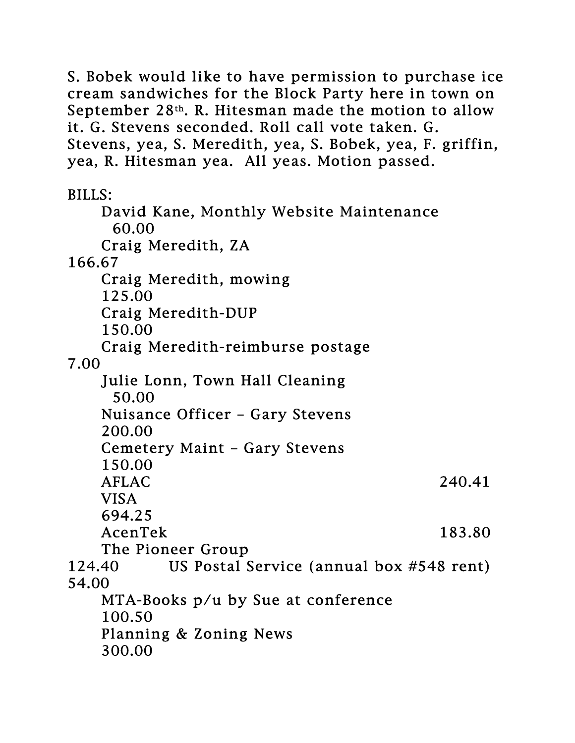S. Bobek would like to have permission to purchase ice cream sandwiches for the Block Party here in town on September 28th. R. Hitesman made the motion to allow it. G. Stevens seconded. Roll call vote taken. G. Stevens, yea, S. Meredith, yea, S. Bobek, yea, F. griffin, yea, R. Hitesman yea. All yeas. Motion passed.

BILLS:

 David Kane, Monthly Website Maintenance 60.00 Craig Meredith, ZA 166.67 Craig Meredith, mowing 125.00 Craig Meredith-DUP 150.00 Craig Meredith-reimburse postage 7.00 Julie Lonn, Town Hall Cleaning 50.00 Nuisance Officer – Gary Stevens 200.00 Cemetery Maint – Gary Stevens 150.00 AFLAC 240.41 VISA 694.25 AcenTek 183.80 The Pioneer Group 124.40 US Postal Service (annual box #548 rent) 54.00 MTA-Books p/u by Sue at conference 100.50 Planning & Zoning News 300.00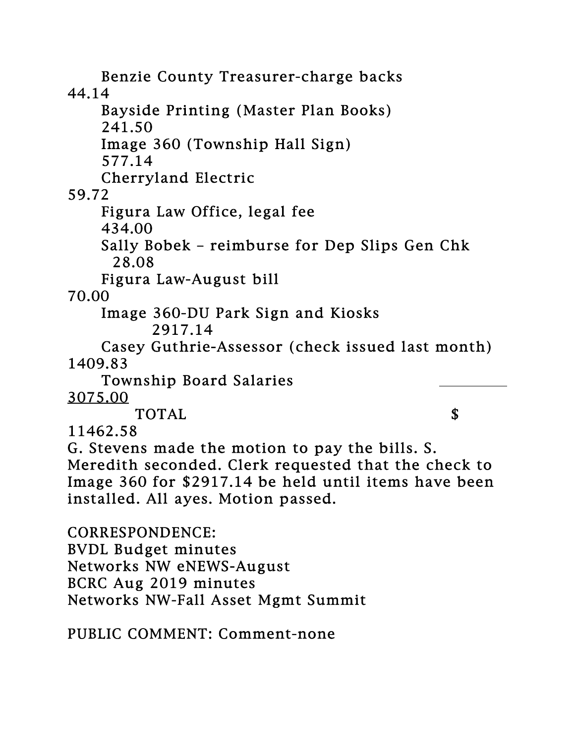Benzie County Treasurer-charge backs 44.14 Bayside Printing (Master Plan Books) 241.50 Image 360 (Township Hall Sign) 577.14 Cherryland Electric 59.72 Figura Law Office, legal fee 434.00 Sally Bobek – reimburse for Dep Slips Gen Chk 28.08 Figura Law-August bill 70.00 Image 360-DU Park Sign and Kiosks 2917.14 Casey Guthrie-Assessor (check issued last month) 1409.83 Township Board Salaries 3075.00 TOTAL S 11462.58 G. Stevens made the motion to pay the bills. S. Meredith seconded. Clerk requested that the check to Image 360 for \$2917.14 be held until items have been installed. All ayes. Motion passed. CORRESPONDENCE: BVDL Budget minutes Networks NW eNEWS-August BCRC Aug 2019 minutes Networks NW-Fall Asset Mgmt Summit

PUBLIC COMMENT: Comment-none